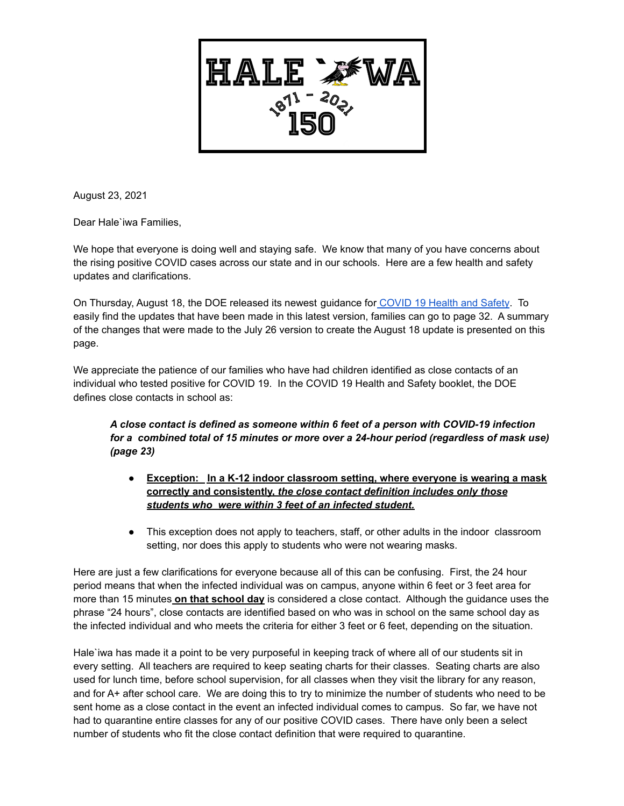

August 23, 2021

Dear Hale`iwa Families,

We hope that everyone is doing well and staying safe. We know that many of you have concerns about the rising positive COVID cases across our state and in our schools. Here are a few health and safety updates and clarifications.

On Thursday, August 18, the DOE released its newest guidance for [COVID](https://drive.google.com/file/d/1whBoS98-WKnmhpFRyhq4iVtIfKy2Cxlg/view?usp=sharing) 19 Health and Safety. To easily find the updates that have been made in this latest version, families can go to page 32. A summary of the changes that were made to the July 26 version to create the August 18 update is presented on this page.

We appreciate the patience of our families who have had children identified as close contacts of an individual who tested positive for COVID 19. In the COVID 19 Health and Safety booklet, the DOE defines close contacts in school as:

*A close contact is defined as someone within 6 feet of a person with COVID-19 infection for a combined total of 15 minutes or more over a 24-hour period (regardless of mask use) (page 23)*

- **Exception: In a K-12 indoor classroom setting, where everyone is wearing a mask correctly and consistently,** *the close contact definition includes only those students who were within 3 feet of an infected student.*
- This exception does not apply to teachers, staff, or other adults in the indoor classroom setting, nor does this apply to students who were not wearing masks.

Here are just a few clarifications for everyone because all of this can be confusing. First, the 24 hour period means that when the infected individual was on campus, anyone within 6 feet or 3 feet area for more than 15 minutes **on that school day** is considered a close contact. Although the guidance uses the phrase "24 hours", close contacts are identified based on who was in school on the same school day as the infected individual and who meets the criteria for either 3 feet or 6 feet, depending on the situation.

Hale`iwa has made it a point to be very purposeful in keeping track of where all of our students sit in every setting. All teachers are required to keep seating charts for their classes. Seating charts are also used for lunch time, before school supervision, for all classes when they visit the library for any reason, and for A+ after school care. We are doing this to try to minimize the number of students who need to be sent home as a close contact in the event an infected individual comes to campus. So far, we have not had to quarantine entire classes for any of our positive COVID cases. There have only been a select number of students who fit the close contact definition that were required to quarantine.